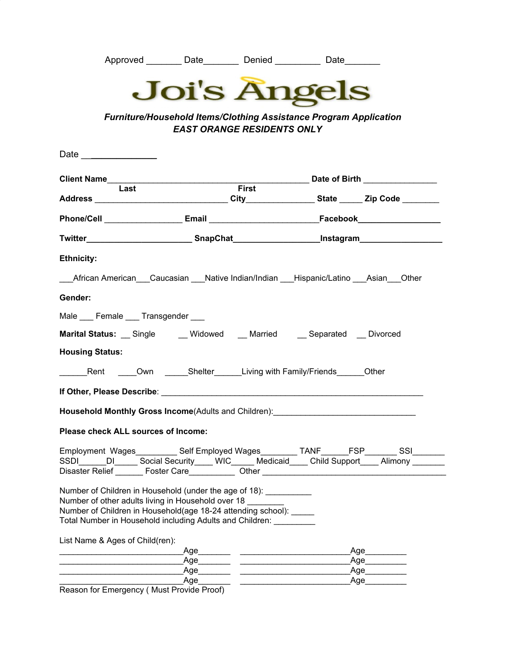| Approved | Date | Denied | Date |
|----------|------|--------|------|
|          |      |        |      |



*Furniture/Household Items/Clothing Assistance Program Application EAST ORANGE RESIDENTS ONLY*

|                                                                                                                                                                                                                                                                | Date of Birth _______________ |       |  |                        |  |  |
|----------------------------------------------------------------------------------------------------------------------------------------------------------------------------------------------------------------------------------------------------------------|-------------------------------|-------|--|------------------------|--|--|
| Last                                                                                                                                                                                                                                                           |                               | First |  |                        |  |  |
|                                                                                                                                                                                                                                                                |                               |       |  |                        |  |  |
|                                                                                                                                                                                                                                                                |                               |       |  |                        |  |  |
| Twitter_____________________________SnapChat_______________________Instagram_______________________                                                                                                                                                            |                               |       |  |                        |  |  |
| <b>Ethnicity:</b>                                                                                                                                                                                                                                              |                               |       |  |                        |  |  |
| ___African American___Caucasian ___Native Indian/Indian ___Hispanic/Latino ___Asian___Other                                                                                                                                                                    |                               |       |  |                        |  |  |
| Gender:                                                                                                                                                                                                                                                        |                               |       |  |                        |  |  |
| Male Female Transgender                                                                                                                                                                                                                                        |                               |       |  |                        |  |  |
| Marital Status: Single ___ Widowed __ Married ___ Separated __ Divorced                                                                                                                                                                                        |                               |       |  |                        |  |  |
| <b>Housing Status:</b>                                                                                                                                                                                                                                         |                               |       |  |                        |  |  |
| <b>Example 2</b> Rent Cown <b>Conserver Communist Communist Communist Communist Communist Communist Communist Communist Communist Communist Communist Communist Communist Communist Communist Communist Communist Communist Communist</b>                      |                               |       |  |                        |  |  |
|                                                                                                                                                                                                                                                                |                               |       |  |                        |  |  |
| Household Monthly Gross Income(Adults and Children): ___________________________                                                                                                                                                                               |                               |       |  |                        |  |  |
| Please check ALL sources of Income:                                                                                                                                                                                                                            |                               |       |  |                        |  |  |
| Employment Wages___________ Self Employed Wages_________ TANF______FSP________ SSI_______                                                                                                                                                                      |                               |       |  |                        |  |  |
| SSDI _____DI ______ Social Security _____ WIC _____ Medicaid ____ Child Support ____ Alimony ______                                                                                                                                                            |                               |       |  |                        |  |  |
| Disaster Relief _______ Foster Care____________ Other __________________________                                                                                                                                                                               |                               |       |  |                        |  |  |
| Number of Children in Household (under the age of 18): __________<br>Number of other adults living in Household over 18<br>Number of Children in Household(age 18-24 attending school): _____<br>Total Number in Household including Adults and Children: ____ |                               |       |  |                        |  |  |
| List Name & Ages of Child(ren):                                                                                                                                                                                                                                |                               |       |  |                        |  |  |
|                                                                                                                                                                                                                                                                |                               |       |  | Age                    |  |  |
|                                                                                                                                                                                                                                                                |                               |       |  | Age__________          |  |  |
|                                                                                                                                                                                                                                                                |                               |       |  | Age<br>_Age___________ |  |  |
| Reason for Emergency (Must Provide Proof)                                                                                                                                                                                                                      |                               |       |  |                        |  |  |